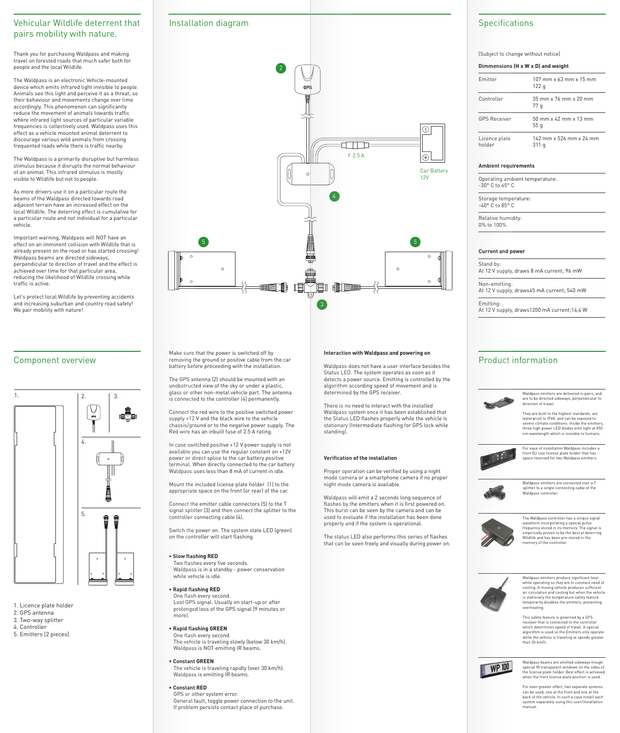### **Interaction with Waldpass and powering on**

Waldpass does not have a user interface besides the Status LED. The system operates as soon as it detects a power source. Emitting is controlled by the algorithm according speed of movement and is determined by the GPS receiver.

There is no need to interact with the installed Waldpass system once it has been established that the Status LED flashes properly while the vehicle is stationary (Intermediate flashing for GPS lock while standing).

# **Specifications**

# **Verification of the installation**

Proper operation can be verified by using a night mode camera or a smartphone camera if no proper night mode camera is available.

Waldpass will emit a 2 seconds long sequence of flashes by the emitters when it is first powered on. This burst can be seen by the camera and can be used to evaluate if the installation has been done properly and if the system is operational.

The status LED also performs this series of flashes that can be seen freely and visually during power on.

Thank you for purchasing Waldpass and making travel on forested roads that much safer both for people and the local Wildlife.

Let's protect local Wildlife by preventing accidents and increasing suburban and country road safety! We pair mobility with nature!

The Waldpass is an electronic Vehicle-mounted device which emits infrared light invisible to people. Animals see this light and perceive it as a threat, so their behaviour and movements change over time accordingly. This phenomenon can significantly reduce the movement of animals towards traffic where infrared light sources of particular variable frequencies is collectively used. Waldpass uses this effect as a vehicle mounted animal deterrent to discourage various wild animals from crossing frequented roads while there is traffic nearby.

The Waldpass is a primarily disruptive but harmless stimulus because it disrupts the normal behaviour of an animal. This infrared stimulus is mostly visible to Wildlife but not to people.

As more drivers use it on a particular route the beams of the Waldpass directed towards road adjacent terrain have an increased effect on the local Wildlife. The deterring effect is cumulative for a particular route and not individual for a particular vehicle.

Important warning, Waldpass will NOT have an effect on an imminent collision with Wildlife that is already present on the road or has started crossing! Waldpass beams are directed sideways, perpendicular to direction of travel and the effect is achieved over time for that particular area, reducing the likelihood of Wildlife crossing while traffic is active.

# Vehicular Wildlife deterrent that pairs mobility with nature.

- 1. Licence plate holder
- 2. GPS antenna
- 3. Two-way splitter
- 4. Controller
- 5. Emitters (2 pieces)

# Component overview





# Installation diagram

(Subject to change without notice)

### **Ambient requirements**

Operating ambient temperature: -30° C to 65° C

Storage temperature: -40° C to 85° C

Relative humidity: 0% to 100%

### **Current and power**

Stand by: At 12 V supply, draws 8 mA current; 96 mW

Non-emitting: At 12 V supply, draws45 mA current; 540 mW

Emitting: At 12 V supply, draws1200 mA current;14,4 W

| $107 \text{ mm} \times 63 \text{ mm} \times 15 \text{ mm}$<br>122g |
|--------------------------------------------------------------------|
| $35 \text{ mm} \times 76 \text{ mm} \times 20 \text{ mm}$<br>77 q  |
| $50 \text{ mm} \times 42 \text{ mm} \times 13 \text{ mm}$<br>55q   |
| 142 mm x 526 mm x 24 mm<br>311q                                    |
|                                                                    |

### **Dimmensions (H x W x D) and weight**

Make sure that the power is switched off by removing the ground or positive cable from the car battery before proceeding with the installation.

The GPS antenna (2) should be mounted with an unobstructed view of the sky or under a plastic, glass or other non-metal vehicle part. The antenna is connected to the controller (4) permanently.

Connect the red wire to the positive switched power supply +12 V and the black wire to the vehicle chassis/ground or to the negative power supply. The Red wire has an inbuilt fuse of 2.5 A rating.

In case switched positive +12 V power supply is not

### available you can use the regular constant on +12V power or direct splice to the car battery positive terminal. When directly connected to the car battery Waldpass uses less than 8 mA of current in idle.

Mount the included license plate holder (1) to the appropriate space on the front (or rear) of the car.

Connect the emitter cable connectors (5) to the T signal splitter (3) and then connect the splitter to the controller connecting cable (4).

Switch the power on. The system state LED (green) on the controller will start flashing.

# **• Slow flashing RED**

Two flashes every five seconds. Waldpass is in a standby - power conservation while vehicle is idle.

# **• Rapid flashing RED**

One flash every second. Lost GPS signal. Usually on start-up or after prolonged loss of the GPS signal (9 minutes or more).

# **• Rapid flashing GREEN**

One flash every second. The vehicle is traveling slowly (below 30 km/h). Waldpass is NOT emitting IR beams.

## **• Constant GREEN**

The vehicle is traveling rapidly (over 30 km/h). Waldpass is emitting IR beams.

## **• Constant RED**

GPS or other system error. General fault, toggle power connection to the unit. If problem persists contact place of purchase.

Waldpass emitters are delivered in pairs, and are to be directed sideways, perpendicular to direction of travel.

They are built to the highest standards, are waterproof to IP68, and can be exposed to severe climate conditions. Inside the emitters, three high power LED diodes emit light at 850 nm wavelength which is invisible to humans.

For ease of installation Waldpass includes a front EU size license plate holder that has space reserved for two Waldpass emitters.



Waldpass emitters are connected over a T splitter to a single connecting cable of the Waldpass controller.



The Waldpass controller has a unique signal waveform incorporating a special pulse frequency stored in its memory. The signal is empirically proven to be the best at deterring Wildlife and has been pre-stored in the memory of the controller.



Waldpass emitters produce significant heat while operating so they are in constant need of cooling. A moving vehicle produces sufficient air circulation and cooling but when the vehicle is stationary the temperature safety feature temporarily disables the emitters, preventing overheating.

This safety feature is governed by a GPS receiver that is connected to the controller which determines speed of travel. A special algorithm is used so the Emitters only operate while the vehicle is traveling at speeds greater than 30 km/h.



Waldpass beams are emitted sideways trough special IR transparent windows on the sides of the license plate holder. Best effect is achieved when the front license plate position is used.

For even greater effect, two separate systems can be used, one at the front and one at the back of the vehicle. In such a case install each system separately using this user/installation manual.



# Product information